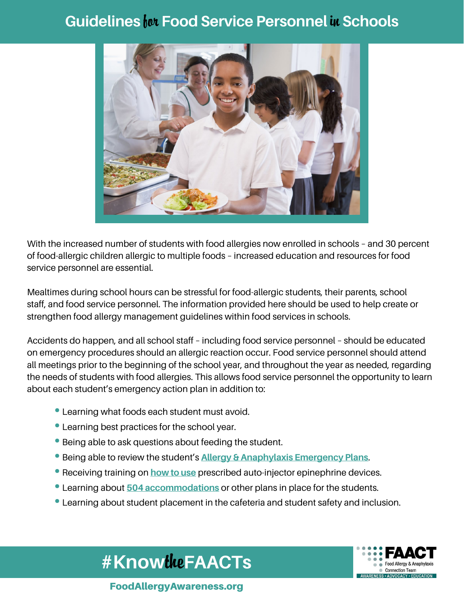## **Guidelines for Food Service Personnel in Schools**



With the increased number of students with food allergies now enrolled in schools – and 30 percent of food-allergic children allergic to multiple foods – increased education and resources for food service personnel are essential.

Mealtimes during school hours can be stressful for food-allergic students, their parents, school staff, and food service personnel. The information provided here should be used to help create or strengthen food allergy management guidelines within food services in schools.

Accidents do happen, and all school staff – including food service personnel – should be educated on emergency procedures should an allergic reaction occur. Food service personnel should attend all meetings prior to the beginning of the school year, and throughout the year as needed, regarding the needs of students with food allergies. This allows food service personnel the opportunity to learn about each student's emergency action plan in addition to:

- Learning what foods each student must avoid.
- Learning best practices for the school year.
- Being able to ask questions about feeding the student.
- Being able to review the student's **Allergy & Anaphylaxis Emergency Plans**.
- Receiving training on **how to use** prescribed auto-injector epinephrine devices.
- Learning about **504 accommodations** or other plans in place for the students.
- Learning about student placement in the cafeteria and student safety and inclusion.

**#Know**the**FAACTs**



FoodAllergyAwareness.org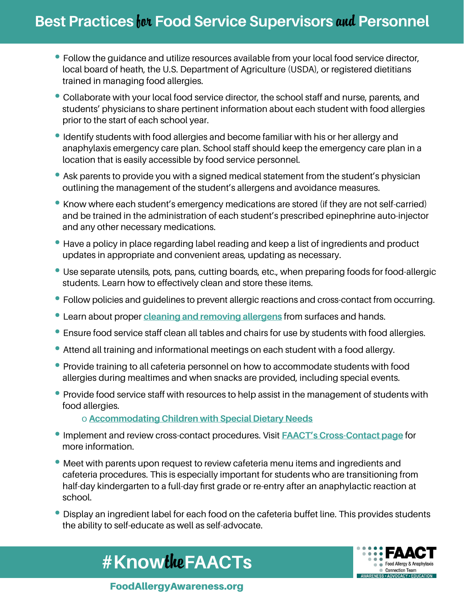## **Best Practices for Food Service Supervisors and Personnel**

- Follow the guidance and utilize resources available from your local food service director, local board of heath, the U.S. Department of Agriculture (USDA), or registered dietitians trained in managing food allergies.
- Collaborate with your local food service director, the school staff and nurse, parents, and students' physicians to share pertinent information about each student with food allergies prior to the start of each school year.
- Identify students with food allergies and become familiar with his or her allergy and anaphylaxis emergency care plan. School staff should keep the emergency care plan in a location that is easily accessible by food service personnel.
- Ask parents to provide you with a signed medical statement from the student's physician outlining the management of the student's allergens and avoidance measures.
- Know where each student's emergency medications are stored (if they are not self-carried) and be trained in the administration of each student's prescribed epinephrine auto-injector and any other necessary medications.
- Have a policy in place regarding label reading and keep a list of ingredients and product updates in appropriate and convenient areas, updating as necessary.
- Use separate utensils, pots, pans, cutting boards, etc., when preparing foods for food-allergic students. Learn how to effectively clean and store these items.
- Follow policies and guidelines to prevent allergic reactions and cross-contact from occurring.
- Learn about proper **cleaning and removing allergens** from surfaces and hands.
- Ensure food service staff clean all tables and chairs for use by students with food allergies.
- Attend all training and informational meetings on each student with a food allergy.
- Provide training to all cafeteria personnel on how to accommodate students with food allergies during mealtimes and when snacks are provided, including special events.
- Provide food service staff with resources to help assist in the management of students with food allergies.

o **Accommodating Children with Special Dietary Needs**

- Implement and review cross-contact procedures. Visit **FAACT's Cross-Contact page** for more information.
- Meet with parents upon request to review cafeteria menu items and ingredients and cafeteria procedures. This is especially important for students who are transitioning from half-day kindergarten to a full-day first grade or re-entry after an anaphylactic reaction at school.
- Display an ingredient label for each food on the cafeteria buffet line. This provides students the ability to self-educate as well as self-advocate.





FoodAllergyAwareness.org